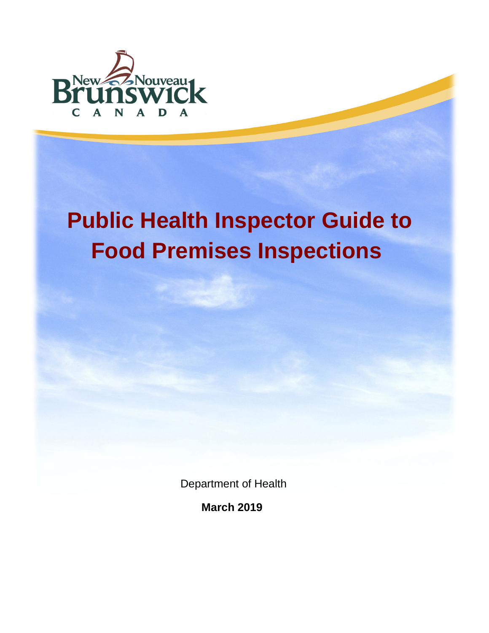

# **Public Health Inspector Guide to Food Premises Inspections**

Department of Health

 **March 2019**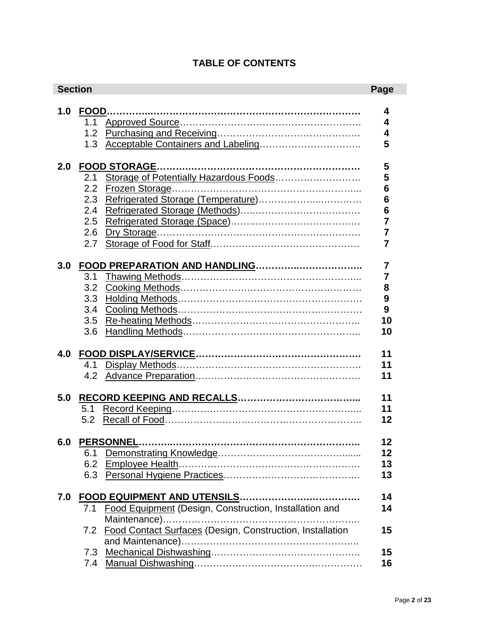# **TABLE OF CONTENTS**

|     | <b>Section</b> |                                                               | Page            |
|-----|----------------|---------------------------------------------------------------|-----------------|
| 1.0 | FOOD           |                                                               | 4               |
|     | 1.1            |                                                               | 4               |
|     | 1.2            |                                                               | 4               |
|     | 1.3            | Acceptable Containers and Labeling                            | 5               |
|     |                |                                                               |                 |
| 2.0 |                |                                                               | 5               |
|     | 2.1            |                                                               | 5               |
|     | 2.2            |                                                               | $6\phantom{1}6$ |
|     | 2.3            |                                                               | 6               |
|     | 2.4            |                                                               | $6\phantom{a}$  |
|     | 2.5            |                                                               | 7               |
|     | 2.6            |                                                               | $\overline{7}$  |
|     | 2.7            |                                                               | $\overline{7}$  |
| 3.0 |                |                                                               | 7               |
|     | 3.1            |                                                               | $\overline{7}$  |
|     | 3.2            |                                                               | 8               |
|     | 3.3            |                                                               | 9               |
|     | 3.4            |                                                               | 9               |
|     | 3.5            |                                                               | 10              |
|     |                |                                                               | 10              |
|     | 3.6            |                                                               |                 |
|     |                |                                                               | 11              |
|     |                |                                                               | 11              |
|     | 4.2            |                                                               | 11              |
|     |                |                                                               |                 |
| 5.0 |                |                                                               | 11              |
|     | 5.1            |                                                               | 11              |
|     | 5.2            |                                                               | 12              |
|     |                |                                                               |                 |
| 6.0 |                | PERSONNEL                                                     | 12              |
|     | 6.1            |                                                               | $12 \,$         |
|     | 6.2            |                                                               | 13              |
|     |                |                                                               | 13              |
| 7.0 |                |                                                               | 14              |
|     | 7.1            | <b>Food Equipment (Design, Construction, Installation and</b> | 14              |
|     |                |                                                               |                 |
|     |                | 7.2 Food Contact Surfaces (Design, Construction, Installation | 15              |
|     |                |                                                               |                 |
|     |                |                                                               | 15              |
|     | 7.4            |                                                               | 16              |
|     |                |                                                               |                 |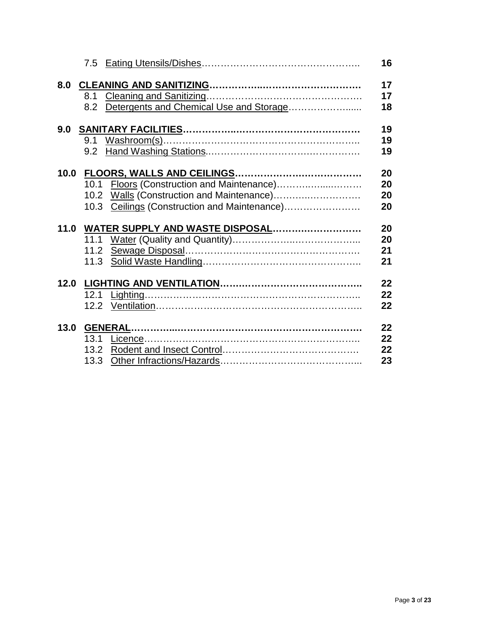|      |                                              | 16 |
|------|----------------------------------------------|----|
|      |                                              | 17 |
|      |                                              | 17 |
|      | 8.2 Detergents and Chemical Use and Storage  | 18 |
|      |                                              | 19 |
|      |                                              | 19 |
|      |                                              | 19 |
|      |                                              | 20 |
|      | 10.1 Floors (Construction and Maintenance)   | 20 |
|      |                                              | 20 |
|      | 10.3 Ceilings (Construction and Maintenance) | 20 |
|      |                                              |    |
|      | 11.0 WATER SUPPLY AND WASTE DISPOSAL         | 20 |
|      | 11.1                                         | 20 |
|      | 11.2                                         | 21 |
|      |                                              | 21 |
| 12.0 |                                              | 22 |
|      |                                              | 22 |
|      |                                              | 22 |
| 13.0 |                                              | 22 |
|      | 13.1                                         | 22 |
|      | 13.2                                         | 22 |
|      | 13.3                                         | 23 |
|      |                                              |    |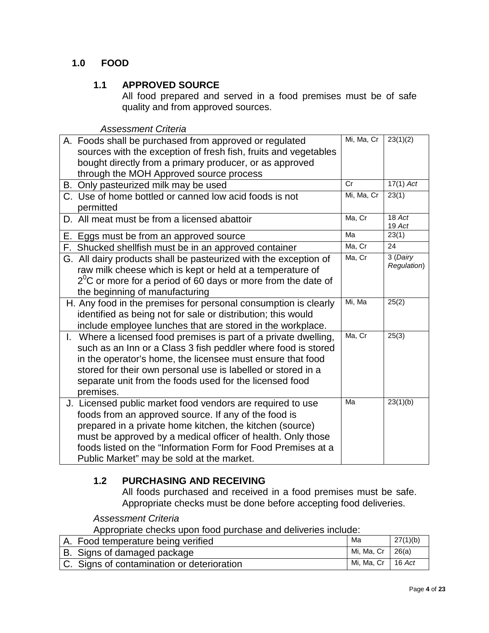# <span id="page-3-0"></span>**1.0 FOOD**

## **1.1 APPROVED SOURCE**

All food prepared and served in a food premises must be of safe quality and from approved sources.

*Assessment Criteria*

|  | A. Foods shall be purchased from approved or regulated             | Mi, Ma, Cr | 23(1)(2)           |
|--|--------------------------------------------------------------------|------------|--------------------|
|  | sources with the exception of fresh fish, fruits and vegetables    |            |                    |
|  | bought directly from a primary producer, or as approved            |            |                    |
|  | through the MOH Approved source process                            |            |                    |
|  | B. Only pasteurized milk may be used                               | Cr         | $17(1)$ Act        |
|  | C. Use of home bottled or canned low acid foods is not             | Mi, Ma, Cr | 23(1)              |
|  | permitted                                                          |            |                    |
|  | D. All meat must be from a licensed abattoir                       | Ma, Cr     | 18 Act<br>$19$ Act |
|  | E. Eggs must be from an approved source                            | Ma         | 23(1)              |
|  | F. Shucked shellfish must be in an approved container              | Ma, Cr     | 24                 |
|  | G. All dairy products shall be pasteurized with the exception of   | Ma, Cr     | 3 (Dairy           |
|  | raw milk cheese which is kept or held at a temperature of          |            | Regulation)        |
|  | $2^{0}$ C or more for a period of 60 days or more from the date of |            |                    |
|  | the beginning of manufacturing                                     |            |                    |
|  | H. Any food in the premises for personal consumption is clearly    | Mi, Ma     | 25(2)              |
|  | identified as being not for sale or distribution; this would       |            |                    |
|  | include employee lunches that are stored in the workplace.         |            |                    |
|  | I. Where a licensed food premises is part of a private dwelling,   | Ma, Cr     | 25(3)              |
|  | such as an Inn or a Class 3 fish peddler where food is stored      |            |                    |
|  | in the operator's home, the licensee must ensure that food         |            |                    |
|  | stored for their own personal use is labelled or stored in a       |            |                    |
|  | separate unit from the foods used for the licensed food            |            |                    |
|  | premises.                                                          |            |                    |
|  | J. Licensed public market food vendors are required to use         | Ma         | 23(1)(b)           |
|  | foods from an approved source. If any of the food is               |            |                    |
|  | prepared in a private home kitchen, the kitchen (source)           |            |                    |
|  | must be approved by a medical officer of health. Only those        |            |                    |
|  | foods listed on the "Information Form for Food Premises at a       |            |                    |
|  | Public Market" may be sold at the market.                          |            |                    |

# <span id="page-3-1"></span>**1.2 PURCHASING AND RECEIVING**

All foods purchased and received in a food premises must be safe. Appropriate checks must be done before accepting food deliveries.

#### *Assessment Criteria*

Appropriate checks upon food purchase and deliveries include:

| A. Food temperature being verified         | Ma                  | 27(1)(b) |
|--------------------------------------------|---------------------|----------|
| B. Signs of damaged package                | Mi, Ma, Cr   26(a)  |          |
| C. Signs of contamination or deterioration | Mi, Ma, Cr   16 Act |          |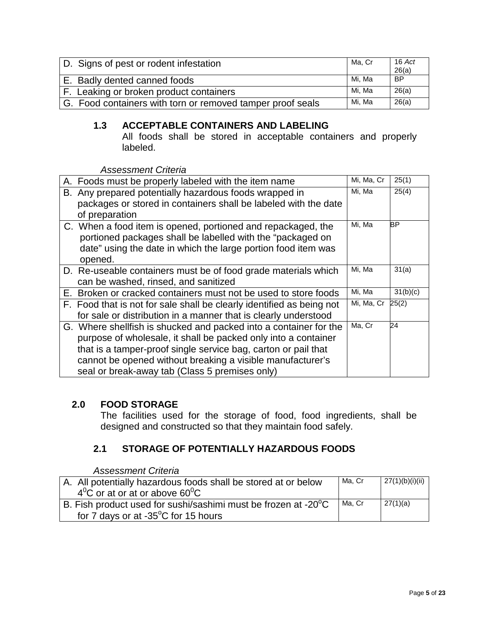| D. Signs of pest or rodent infestation                     | Ma. Cr | $16$ Act<br>26(a) |
|------------------------------------------------------------|--------|-------------------|
| E. Badly dented canned foods                               | Mi. Ma | <b>BP</b>         |
| F. Leaking or broken product containers                    | Mi. Ma | 26(a)             |
| G. Food containers with torn or removed tamper proof seals | Mi. Ma | 26(a)             |

## <span id="page-4-0"></span>**1.3 ACCEPTABLE CONTAINERS AND LABELING**

All foods shall be stored in acceptable containers and properly labeled.

*Assessment Criteria*

| A. Foods must be properly labeled with the item name                  | Mi, Ma, Cr | 25(1)    |
|-----------------------------------------------------------------------|------------|----------|
| B. Any prepared potentially hazardous foods wrapped in                | Mi, Ma     | 25(4)    |
| packages or stored in containers shall be labeled with the date       |            |          |
| of preparation                                                        |            |          |
| C. When a food item is opened, portioned and repackaged, the          | Mi, Ma     | BP       |
| portioned packages shall be labelled with the "packaged on            |            |          |
| date" using the date in which the large portion food item was         |            |          |
| opened.                                                               |            |          |
| D. Re-useable containers must be of food grade materials which        | Mi, Ma     | 31(a)    |
| can be washed, rinsed, and sanitized                                  |            |          |
| E. Broken or cracked containers must not be used to store foods       | Mi, Ma     | 31(b)(c) |
| F. Food that is not for sale shall be clearly identified as being not | Mi, Ma, Cr | 25(2)    |
| for sale or distribution in a manner that is clearly understood       |            |          |
| G. Where shellfish is shucked and packed into a container for the     | Ma, Cr     | 24       |
| purpose of wholesale, it shall be packed only into a container        |            |          |
| that is a tamper-proof single service bag, carton or pail that        |            |          |
| cannot be opened without breaking a visible manufacturer's            |            |          |
| seal or break-away tab (Class 5 premises only)                        |            |          |

## <span id="page-4-1"></span>**2.0 FOOD STORAGE**

The facilities used for the storage of food, food ingredients, shall be designed and constructed so that they maintain food safely.

## **2.1 STORAGE OF POTENTIALLY HAZARDOUS FOODS**

<span id="page-4-2"></span>

| A. All potentially hazardous foods shall be stored at or below<br>$4^0$ C or at or at or above 60 <sup>0</sup> C             | Ma. Cr | 27(1)(b)(i)(ii) |
|------------------------------------------------------------------------------------------------------------------------------|--------|-----------------|
| B. Fish product used for sushi/sashimi must be frozen at -20 <sup>°</sup> C<br>for 7 days or at $-35^{\circ}$ C for 15 hours | Ma. Cr | 27(1)(a)        |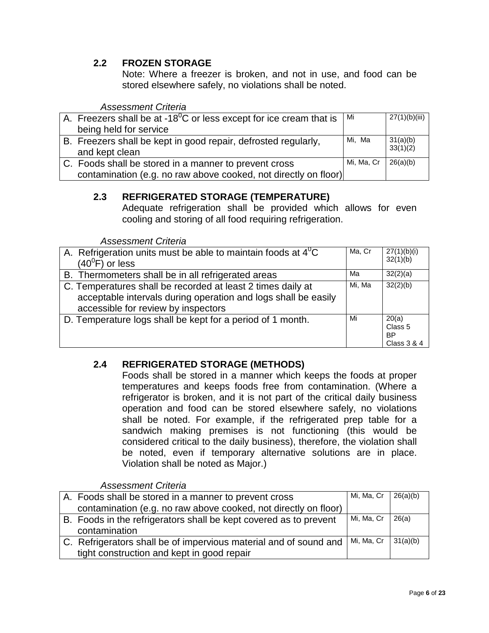## **2.2 FROZEN STORAGE**

Note: Where a freezer is broken, and not in use, and food can be stored elsewhere safely, no violations shall be noted.

#### *Assessment Criteria*

| A. Freezers shall be at -18 $^{0}$ C or less except for ice cream that is        | l Mi       | 27(1)(b)(iii)        |
|----------------------------------------------------------------------------------|------------|----------------------|
| being held for service                                                           |            |                      |
| B. Freezers shall be kept in good repair, defrosted regularly,<br>and kept clean | Mi, Ma     | 31(a)(b)<br>33(1)(2) |
| C. Foods shall be stored in a manner to prevent cross                            | Mi, Ma, Cr | 26(a)(b)             |
| contamination (e.g. no raw above cooked, not directly on floor)                  |            |                      |

## **2.3 REFRIGERATED STORAGE (TEMPERATURE)**

Adequate refrigeration shall be provided which allows for even cooling and storing of all food requiring refrigeration.

*Assessment Criteria*

| A. Refrigeration units must be able to maintain foods at $4^{\circ}C$<br>$(40^{\circ}$ F) or less                                                                    | Ma, Cr | 27(1)(b)(i)<br>32(1)(b)                                 |
|----------------------------------------------------------------------------------------------------------------------------------------------------------------------|--------|---------------------------------------------------------|
| B. Thermometers shall be in all refrigerated areas                                                                                                                   | Мa     | 32(2)(a)                                                |
| C. Temperatures shall be recorded at least 2 times daily at<br>acceptable intervals during operation and logs shall be easily<br>accessible for review by inspectors | Mi, Ma | 32(2)(b)                                                |
| D. Temperature logs shall be kept for a period of 1 month.                                                                                                           | Mi     | 20(a)<br>Class <sub>5</sub><br><b>BP</b><br>Class 3 & 4 |

## **2.4 REFRIGERATED STORAGE (METHODS)**

Foods shall be stored in a manner which keeps the foods at proper temperatures and keeps foods free from contamination. (Where a refrigerator is broken, and it is not part of the critical daily business operation and food can be stored elsewhere safely, no violations shall be noted. For example, if the refrigerated prep table for a sandwich making premises is not functioning (this would be considered critical to the daily business), therefore, the violation shall be noted, even if temporary alternative solutions are in place. Violation shall be noted as Major.)

| A. Foods shall be stored in a manner to prevent cross             | Mi, Ma, Cr | 26(a)(b) |
|-------------------------------------------------------------------|------------|----------|
| contamination (e.g. no raw above cooked, not directly on floor)   |            |          |
| B. Foods in the refrigerators shall be kept covered as to prevent | Mi, Ma, Cr | 26(a)    |
| contamination                                                     |            |          |
| C. Refrigerators shall be of impervious material and of sound and | Mi, Ma, Cr | 31(a)(b) |
| tight construction and kept in good repair                        |            |          |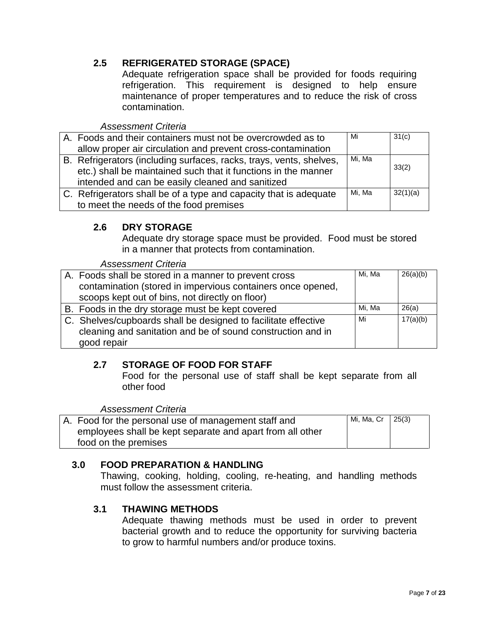# **2.5 REFRIGERATED STORAGE (SPACE)**

Adequate refrigeration space shall be provided for foods requiring refrigeration. This requirement is designed to help ensure maintenance of proper temperatures and to reduce the risk of cross contamination.

#### *Assessment Criteria*

| A. Foods and their containers must not be overcrowded as to         | Mi     | 31(c)    |
|---------------------------------------------------------------------|--------|----------|
| allow proper air circulation and prevent cross-contamination        |        |          |
| B. Refrigerators (including surfaces, racks, trays, vents, shelves, | Mi, Ma |          |
| etc.) shall be maintained such that it functions in the manner      |        | 33(2)    |
| intended and can be easily cleaned and sanitized                    |        |          |
| C. Refrigerators shall be of a type and capacity that is adequate   | Mi. Ma | 32(1)(a) |
| to meet the needs of the food premises                              |        |          |

## <span id="page-6-0"></span>**2.6 DRY STORAGE**

Adequate dry storage space must be provided. Food must be stored in a manner that protects from contamination.

| <b>Assessment Criteria</b>                                     |        |          |
|----------------------------------------------------------------|--------|----------|
| A. Foods shall be stored in a manner to prevent cross          | Mi, Ma | 26(a)(b) |
| contamination (stored in impervious containers once opened,    |        |          |
| scoops kept out of bins, not directly on floor)                |        |          |
| B. Foods in the dry storage must be kept covered               | Mi. Ma | 26(a)    |
| C. Shelves/cupboards shall be designed to facilitate effective | Mi     | 17(a)(b) |
| cleaning and sanitation and be of sound construction and in    |        |          |
| good repair                                                    |        |          |

## **2.7 STORAGE OF FOOD FOR STAFF**

Food for the personal use of staff shall be kept separate from all other food

*Assessment Criteria*

| A. Food for the personal use of management staff and      | Mi, Ma, Cr   25(3) |  |
|-----------------------------------------------------------|--------------------|--|
| employees shall be kept separate and apart from all other |                    |  |
| food on the premises                                      |                    |  |

## **3.0 FOOD PREPARATION & HANDLING**

Thawing, cooking, holding, cooling, re-heating, and handling methods must follow the assessment criteria.

## **3.1 THAWING METHODS**

Adequate thawing methods must be used in order to prevent bacterial growth and to reduce the opportunity for surviving bacteria to grow to harmful numbers and/or produce toxins.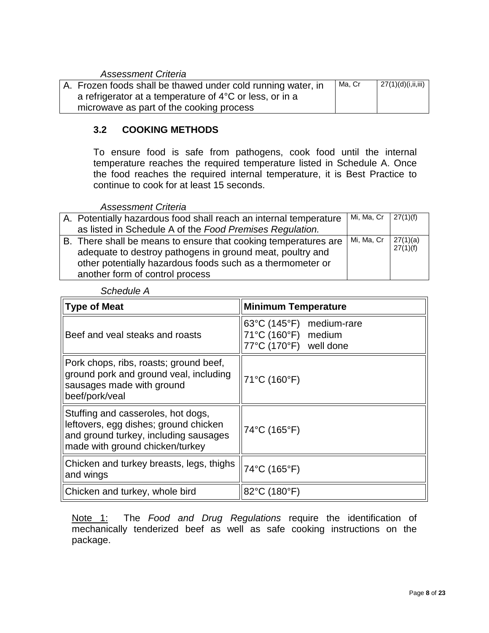## *Assessment Criteria*

| A. Frozen foods shall be thawed under cold running water, in      | Ma, Cr | 27(1)(d)(i, ii, iii) |
|-------------------------------------------------------------------|--------|----------------------|
| a refrigerator at a temperature of $4^{\circ}$ C or less, or in a |        |                      |
| microwave as part of the cooking process                          |        |                      |

## **3.2 COOKING METHODS**

To ensure food is safe from pathogens, cook food until the internal temperature reaches the required temperature listed in Schedule A. Once the food reaches the required internal temperature, it is Best Practice to continue to cook for at least 15 seconds.

*Assessment Criteria*

| A. Potentially hazardous food shall reach an internal temperature                                                                                                                          | Mi, Ma, Cr   $27(1)(f)$ |                      |
|--------------------------------------------------------------------------------------------------------------------------------------------------------------------------------------------|-------------------------|----------------------|
| as listed in Schedule A of the Food Premises Regulation.                                                                                                                                   |                         |                      |
| B. There shall be means to ensure that cooking temperatures are<br>adequate to destroy pathogens in ground meat, poultry and<br>other potentially hazardous foods such as a thermometer or | Mi, Ma, Cr              | 27(1)(a)<br>27(1)(f) |
| another form of control process                                                                                                                                                            |                         |                      |

| <b>Minimum Temperature</b><br>$\ $ Type of Meat                                                                                                         |                                                                                                   |
|---------------------------------------------------------------------------------------------------------------------------------------------------------|---------------------------------------------------------------------------------------------------|
| Beef and yeal steaks and roasts                                                                                                                         | $63^{\circ}$ C (145 $^{\circ}$ F)<br>medium-rare<br>71°C (160°F) medium<br>77°C (170°F) well done |
| Pork chops, ribs, roasts; ground beef,<br>ground pork and ground veal, including<br>sausages made with ground<br>beef/pork/veal                         | 71°C (160°F)                                                                                      |
| Stuffing and casseroles, hot dogs,<br>leftovers, egg dishes; ground chicken<br>and ground turkey, including sausages<br>made with ground chicken/turkey | 74°C (165°F)                                                                                      |
| Chicken and turkey breasts, legs, thighs<br>and wings                                                                                                   | 74°C (165°F)                                                                                      |
| Chicken and turkey, whole bird                                                                                                                          | 82°C (180°F)                                                                                      |

*Schedule A*

Note 1: The *Food and Drug Regulations* require the identification of mechanically tenderized beef as well as safe cooking instructions on the package.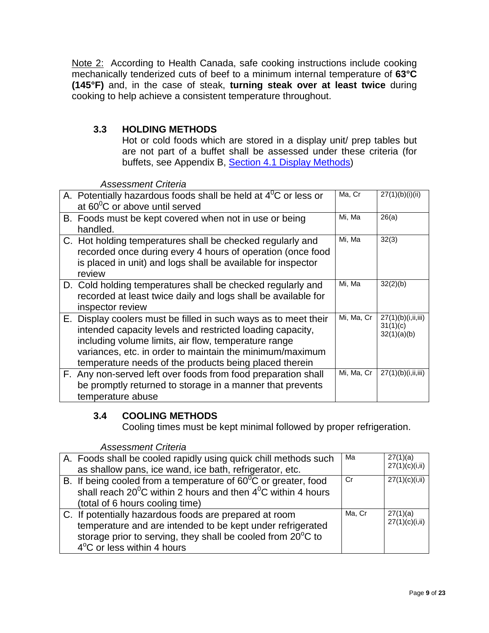Note 2: According to Health Canada, safe cooking instructions include cooking mechanically tenderized cuts of beef to a minimum internal temperature of **63°C (145°F)** and, in the case of steak, **turning steak over at least twice** during cooking to help achieve a consistent temperature throughout.

# **3.3 HOLDING METHODS**

Hot or cold foods which are stored in a display unit/ prep tables but are not part of a buffet shall be assessed under these criteria (for buffets, see Appendix B, [Section 4.1 Display Methods\)](#page-10-1)

*Assessment Criteria*

| A. Potentially hazardous foods shall be held at $4^{\circ}$ C or less or<br>at $60^{\circ}$ C or above until served                                                                                                                                                                                        | Ma, Cr     | 27(1)(b)(i)(ii)                               |
|------------------------------------------------------------------------------------------------------------------------------------------------------------------------------------------------------------------------------------------------------------------------------------------------------------|------------|-----------------------------------------------|
| B. Foods must be kept covered when not in use or being<br>handled.                                                                                                                                                                                                                                         | Mi, Ma     | 26(a)                                         |
| C. Hot holding temperatures shall be checked regularly and<br>recorded once during every 4 hours of operation (once food<br>is placed in unit) and logs shall be available for inspector<br>review                                                                                                         | Mi, Ma     | 32(3)                                         |
| D. Cold holding temperatures shall be checked regularly and<br>recorded at least twice daily and logs shall be available for<br>inspector review                                                                                                                                                           | Mi, Ma     | 32(2)(b)                                      |
| E. Display coolers must be filled in such ways as to meet their<br>intended capacity levels and restricted loading capacity,<br>including volume limits, air flow, temperature range<br>variances, etc. in order to maintain the minimum/maximum<br>temperature needs of the products being placed therein | Mi, Ma, Cr | 27(1)(b)(i,ii,iii)<br>31(1)(c)<br>32(1)(a)(b) |
| F. Any non-served left over foods from food preparation shall<br>be promptly returned to storage in a manner that prevents<br>temperature abuse                                                                                                                                                            | Mi, Ma, Cr | 27(1)(b)(i, ii, iii)                          |

## **3.4 COOLING METHODS**

Cooling times must be kept minimal followed by proper refrigeration.

| A. Foods shall be cooled rapidly using quick chill methods such          | Ma     | 27(1)(a)        |
|--------------------------------------------------------------------------|--------|-----------------|
| as shallow pans, ice wand, ice bath, refrigerator, etc.                  |        | 27(1)(c)(i, ii) |
| B. If being cooled from a temperature of $60^{\circ}$ C or greater, food | Cr     | 27(1)(c)(i, ii) |
| shall reach $20^0$ C within 2 hours and then $4^0$ C within 4 hours      |        |                 |
| (total of 6 hours cooling time)                                          |        |                 |
| C. If potentially hazardous foods are prepared at room                   | Ma, Cr | 27(1)(a)        |
| temperature and are intended to be kept under refrigerated               |        | 27(1)(c)(i, ii) |
| storage prior to serving, they shall be cooled from 20°C to              |        |                 |
| 4°C or less within 4 hours                                               |        |                 |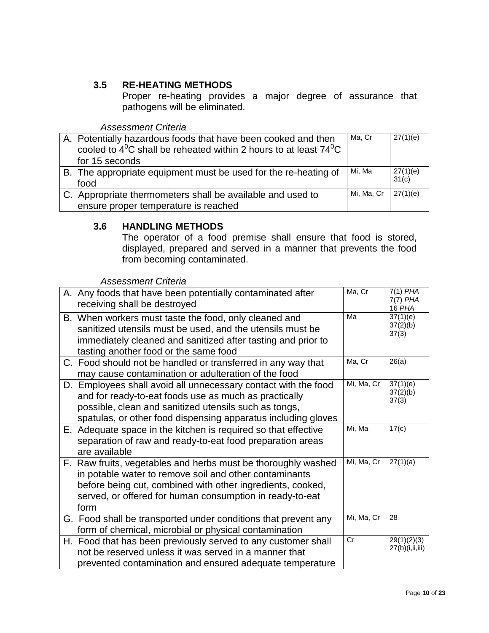## **3.5 RE-HEATING METHODS**

Proper re-heating provides a major degree of assurance that pathogens will be eliminated.

*Assessment Criteria*

| A. Potentially hazardous foods that have been cooked and then         | Ma, Cr     | 27(1)(e) |
|-----------------------------------------------------------------------|------------|----------|
| cooled to $4^0C$ shall be reheated within 2 hours to at least $74^0C$ |            |          |
| for 15 seconds                                                        |            |          |
| B. The appropriate equipment must be used for the re-heating of       | Mi. Ma     | 27(1)(e) |
| food                                                                  |            | 31(c)    |
| C. Appropriate thermometers shall be available and used to            | Mi, Ma, Cr | 27(1)(e) |
| ensure proper temperature is reached                                  |            |          |

### **3.6 HANDLING METHODS**

The operator of a food premise shall ensure that food is stored, displayed, prepared and served in a manner that prevents the food from becoming contaminated.

| A. Any foods that have been potentially contaminated after<br>receiving shall be destroyed                                                                                                                                                                | Ma. Cr     | $7(1)$ PHA<br>$7(7)$ PHA<br>16 PHA |
|-----------------------------------------------------------------------------------------------------------------------------------------------------------------------------------------------------------------------------------------------------------|------------|------------------------------------|
| B. When workers must taste the food, only cleaned and<br>sanitized utensils must be used, and the utensils must be<br>immediately cleaned and sanitized after tasting and prior to<br>tasting another food or the same food                               | Ma         | 37(1)(e)<br>37(2)(b)<br>37(3)      |
| C. Food should not be handled or transferred in any way that<br>may cause contamination or adulteration of the food                                                                                                                                       | Ma, Cr     | 26(a)                              |
| D. Employees shall avoid all unnecessary contact with the food<br>and for ready-to-eat foods use as much as practically<br>possible, clean and sanitized utensils such as tongs,<br>spatulas, or other food dispensing apparatus including gloves         | Mi, Ma, Cr | 37(1)(e)<br>37(2)(b)<br>37(3)      |
| E. Adequate space in the kitchen is required so that effective<br>separation of raw and ready-to-eat food preparation areas<br>are available                                                                                                              | Mi, Ma     | 17(c)                              |
| F. Raw fruits, vegetables and herbs must be thoroughly washed<br>in potable water to remove soil and other contaminants<br>before being cut, combined with other ingredients, cooked,<br>served, or offered for human consumption in ready-to-eat<br>form | Mi, Ma, Cr | 27(1)(a)                           |
| G. Food shall be transported under conditions that prevent any<br>form of chemical, microbial or physical contamination                                                                                                                                   | Mi, Ma, Cr | 28                                 |
| H. Food that has been previously served to any customer shall<br>not be reserved unless it was served in a manner that<br>prevented contamination and ensured adequate temperature                                                                        | Cr         | 29(1)(2)(3)<br>27(b)(i,ii,iii)     |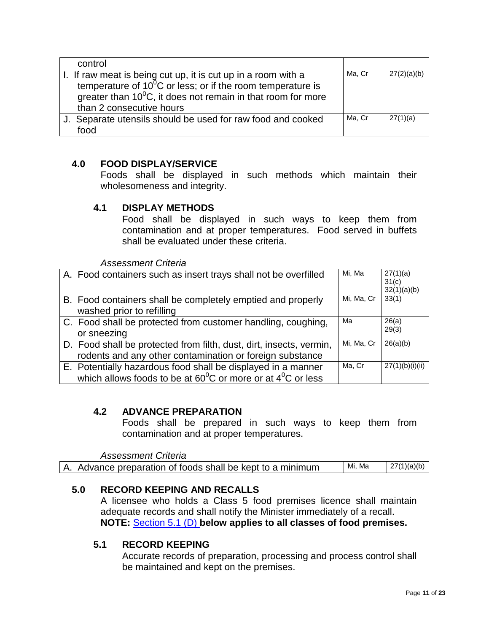| control                                                          |        |             |
|------------------------------------------------------------------|--------|-------------|
| I. If raw meat is being cut up, it is cut up in a room with a    | Ma, Cr | 27(2)(a)(b) |
| temperature of $10^{0}$ C or less; or if the room temperature is |        |             |
| greater than $10^0$ C, it does not remain in that room for more  |        |             |
| than 2 consecutive hours                                         |        |             |
| J. Separate utensils should be used for raw food and cooked      | Ma, Cr | 27(1)(a)    |
| food                                                             |        |             |

## <span id="page-10-0"></span>**4.0 FOOD DISPLAY/SERVICE**

Foods shall be displayed in such methods which maintain their wholesomeness and integrity.

## <span id="page-10-1"></span>**4.1 DISPLAY METHODS**

Food shall be displayed in such ways to keep them from contamination and at proper temperatures. Food served in buffets shall be evaluated under these criteria.

*Assessment Criteria*

| A. Food containers such as insert trays shall not be overfilled                                                                                | Mi, Ma     | 27(1)(a)<br>31(c)<br>32(1)(a)(b) |
|------------------------------------------------------------------------------------------------------------------------------------------------|------------|----------------------------------|
| B. Food containers shall be completely emptied and properly<br>washed prior to refilling                                                       | Mi, Ma, Cr | 33(1)                            |
| C. Food shall be protected from customer handling, coughing,<br>or sneezing                                                                    | Ma         | 26(a)<br>29(3)                   |
| D. Food shall be protected from filth, dust, dirt, insects, vermin,<br>rodents and any other contamination or foreign substance                | Mi, Ma, Cr | 26(a)(b)                         |
| E. Potentially hazardous food shall be displayed in a manner<br>which allows foods to be at $60^{\circ}$ C or more or at $4^{\circ}$ C or less | Ma, Cr     | 27(1)(b)(i)(ii)                  |

#### **4.2 ADVANCE PREPARATION**

Foods shall be prepared in such ways to keep them from contamination and at proper temperatures.

*Assessment Criteria* A. Advance preparation of foods shall be kept to a minimum  $\frac{M_i M_a}{27(1)(a)(b)}$ 

## <span id="page-10-2"></span>**5.0 RECORD KEEPING AND RECALLS**

A licensee who holds a Class 5 food premises licence shall maintain adequate records and shall notify the Minister immediately of a recall. **NOTE:** [Section 5.1 \(D\)](#page-11-3) **below applies to all classes of food premises.**

## **5.1 RECORD KEEPING**

Accurate records of preparation, processing and process control shall be maintained and kept on the premises.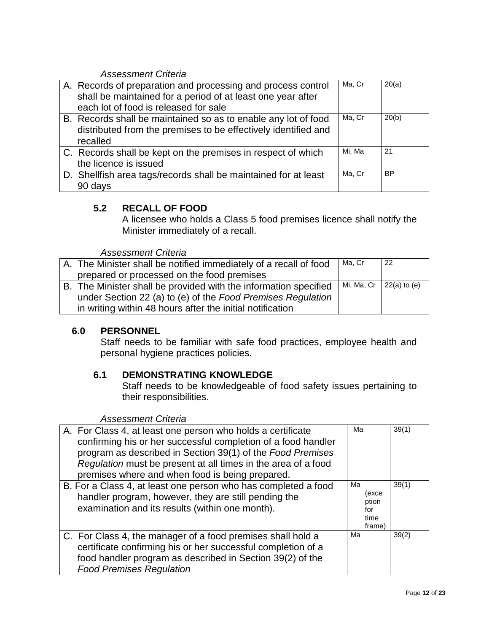## *Assessment Criteria*

| A. Records of preparation and processing and process control<br>shall be maintained for a period of at least one year after<br>each lot of food is released for sale | Ma, Cr | 20(a)     |
|----------------------------------------------------------------------------------------------------------------------------------------------------------------------|--------|-----------|
| B. Records shall be maintained so as to enable any lot of food<br>distributed from the premises to be effectively identified and<br>recalled                         | Ma, Cr | 20(b)     |
| C. Records shall be kept on the premises in respect of which<br>the licence is issued                                                                                | Mi, Ma | 21        |
| D. Shellfish area tags/records shall be maintained for at least<br>90 days                                                                                           | Ma, Cr | <b>BP</b> |

## <span id="page-11-3"></span><span id="page-11-0"></span>**5.2 RECALL OF FOOD**

A licensee who holds a Class 5 food premises licence shall notify the Minister immediately of a recall.

#### *Assessment Criteria*

| A. The Minister shall be notified immediately of a recall of food | Ma, Cr                          | -22 |
|-------------------------------------------------------------------|---------------------------------|-----|
| prepared or processed on the food premises                        |                                 |     |
| B. The Minister shall be provided with the information specified  | Mi, Ma, Cr $\vert$ 22(a) to (e) |     |
| under Section 22 (a) to (e) of the Food Premises Regulation       |                                 |     |
| in writing within 48 hours after the initial notification         |                                 |     |

## <span id="page-11-1"></span>**6.0 PERSONNEL**

Staff needs to be familiar with safe food practices, employee health and personal hygiene practices policies.

## <span id="page-11-2"></span>**6.1 DEMONSTRATING KNOWLEDGE**

Staff needs to be knowledgeable of food safety issues pertaining to their responsibilities.

| A. For Class 4, at least one person who holds a certificate<br>confirming his or her successful completion of a food handler<br>program as described in Section 39(1) of the Food Premises<br>Regulation must be present at all times in the area of a food<br>premises where and when food is being prepared. | Ma                                            | 39(1) |
|----------------------------------------------------------------------------------------------------------------------------------------------------------------------------------------------------------------------------------------------------------------------------------------------------------------|-----------------------------------------------|-------|
| B. For a Class 4, at least one person who has completed a food<br>handler program, however, they are still pending the<br>examination and its results (within one month).                                                                                                                                      | Мa<br>(exce<br>ption<br>for<br>time<br>frame) | 39(1) |
| C. For Class 4, the manager of a food premises shall hold a<br>certificate confirming his or her successful completion of a<br>food handler program as described in Section 39(2) of the<br><b>Food Premises Regulation</b>                                                                                    | Ma                                            | 39(2) |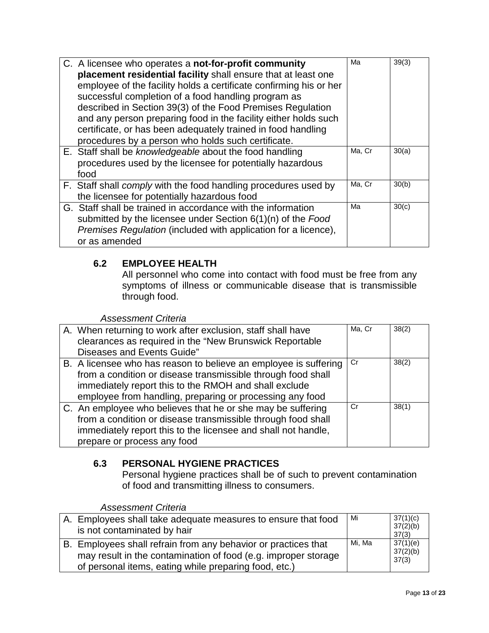| C. A licensee who operates a not-for-profit community              | Ma     | 39(3) |
|--------------------------------------------------------------------|--------|-------|
| placement residential facility shall ensure that at least one      |        |       |
| employee of the facility holds a certificate confirming his or her |        |       |
| successful completion of a food handling program as                |        |       |
| described in Section 39(3) of the Food Premises Regulation         |        |       |
| and any person preparing food in the facility either holds such    |        |       |
| certificate, or has been adequately trained in food handling       |        |       |
| procedures by a person who holds such certificate.                 |        |       |
| E. Staff shall be knowledgeable about the food handling            | Ma, Cr | 30(a) |
| procedures used by the licensee for potentially hazardous          |        |       |
| food                                                               |        |       |
| F. Staff shall comply with the food handling procedures used by    | Ma, Cr | 30(b) |
| the licensee for potentially hazardous food                        |        |       |
| G. Staff shall be trained in accordance with the information       | Ma     | 30(c) |
| submitted by the licensee under Section $6(1)(n)$ of the Food      |        |       |
| Premises Regulation (included with application for a licence),     |        |       |
| or as amended                                                      |        |       |

# <span id="page-12-0"></span>**6.2 EMPLOYEE HEALTH**

All personnel who come into contact with food must be free from any symptoms of illness or communicable disease that is transmissible through food.

#### *Assessment Criteria*

| A. When returning to work after exclusion, staff shall have<br>clearances as required in the "New Brunswick Reportable<br>Diseases and Events Guide"                                                                                                  | Ma, Cr | 38(2) |
|-------------------------------------------------------------------------------------------------------------------------------------------------------------------------------------------------------------------------------------------------------|--------|-------|
| B. A licensee who has reason to believe an employee is suffering<br>from a condition or disease transmissible through food shall<br>immediately report this to the RMOH and shall exclude<br>employee from handling, preparing or processing any food | Cr     | 38(2) |
| C. An employee who believes that he or she may be suffering<br>from a condition or disease transmissible through food shall<br>immediately report this to the licensee and shall not handle,<br>prepare or process any food                           | Cr     | 38(1) |

## <span id="page-12-1"></span>**6.3 PERSONAL HYGIENE PRACTICES**

Personal hygiene practices shall be of such to prevent contamination of food and transmitting illness to consumers.

| A. Employees shall take adequate measures to ensure that food<br>is not contaminated by hair                                                                                              | Mi     | 37(1)(c)<br>37(2)(b)<br>37(3) |
|-------------------------------------------------------------------------------------------------------------------------------------------------------------------------------------------|--------|-------------------------------|
| B. Employees shall refrain from any behavior or practices that<br>may result in the contamination of food (e.g. improper storage<br>of personal items, eating while preparing food, etc.) | Mi. Ma | 37(1)(e)<br>37(2)(b)<br>37(3) |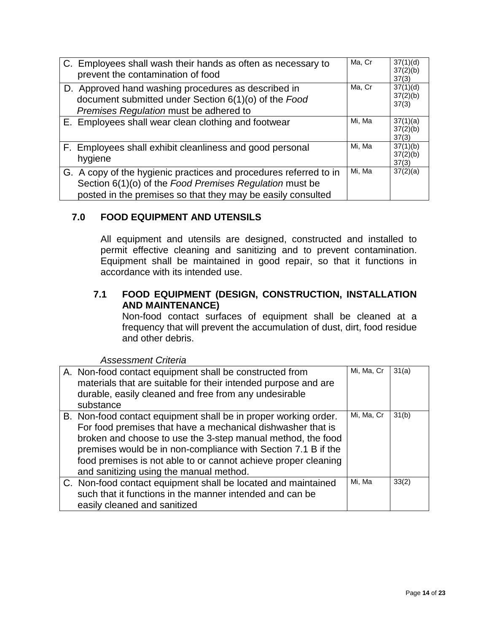| C. Employees shall wash their hands as often as necessary to<br>prevent the contamination of food                                                                                           | Ma, Cr | 37(1)(d)<br>37(2)(b)<br>37(3) |
|---------------------------------------------------------------------------------------------------------------------------------------------------------------------------------------------|--------|-------------------------------|
| D. Approved hand washing procedures as described in<br>document submitted under Section 6(1)(o) of the Food<br>Premises Regulation must be adhered to                                       | Ma, Cr | 37(1)(d)<br>37(2)(b)<br>37(3) |
| E. Employees shall wear clean clothing and footwear                                                                                                                                         | Mi, Ma | 37(1)(a)<br>37(2)(b)<br>37(3) |
| F. Employees shall exhibit cleanliness and good personal<br>hygiene                                                                                                                         | Mi. Ma | 37(1)(b)<br>37(2)(b)<br>37(3) |
| G. A copy of the hygienic practices and procedures referred to in<br>Section 6(1)(o) of the Food Premises Regulation must be<br>posted in the premises so that they may be easily consulted | Mi, Ma | 37(2)(a)                      |

## <span id="page-13-0"></span>**7.0 FOOD EQUIPMENT AND UTENSILS**

All equipment and utensils are designed, constructed and installed to permit effective cleaning and sanitizing and to prevent contamination. Equipment shall be maintained in good repair, so that it functions in accordance with its intended use.

## **7.1 FOOD EQUIPMENT (DESIGN, CONSTRUCTION, INSTALLATION AND MAINTENANCE)**

Non-food contact surfaces of equipment shall be cleaned at a frequency that will prevent the accumulation of dust, dirt, food residue and other debris.

| A. Non-food contact equipment shall be constructed from<br>materials that are suitable for their intended purpose and are<br>durable, easily cleaned and free from any undesirable<br>substance                                                                                                                                                                             | Mi, Ma, Cr | 31(a) |
|-----------------------------------------------------------------------------------------------------------------------------------------------------------------------------------------------------------------------------------------------------------------------------------------------------------------------------------------------------------------------------|------------|-------|
| B. Non-food contact equipment shall be in proper working order.<br>For food premises that have a mechanical dishwasher that is<br>broken and choose to use the 3-step manual method, the food<br>premises would be in non-compliance with Section 7.1 B if the<br>food premises is not able to or cannot achieve proper cleaning<br>and sanitizing using the manual method. | Mi, Ma, Cr | 31(b) |
| C. Non-food contact equipment shall be located and maintained<br>such that it functions in the manner intended and can be<br>easily cleaned and sanitized                                                                                                                                                                                                                   | Mi. Ma     | 33(2) |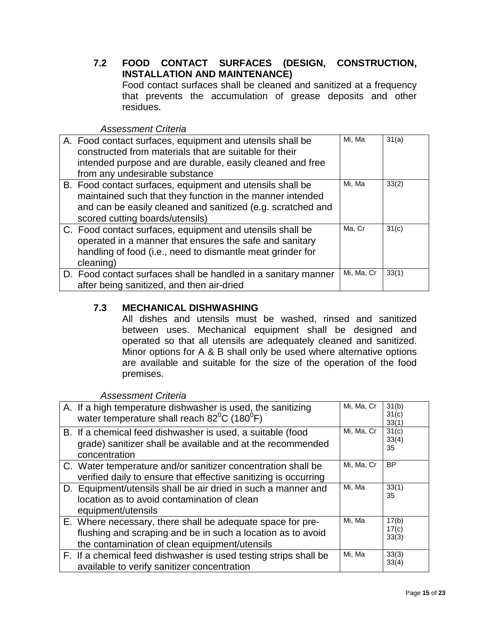<span id="page-14-0"></span>**7.2 FOOD CONTACT SURFACES (DESIGN, CONSTRUCTION, INSTALLATION AND MAINTENANCE)**

Food contact surfaces shall be cleaned and sanitized at a frequency that prevents the accumulation of grease deposits and other residues.

*Assessment Criteria*

| A. Food contact surfaces, equipment and utensils shall be<br>constructed from materials that are suitable for their<br>intended purpose and are durable, easily cleaned and free<br>from any undesirable substance       | Mi, Ma     | 31(a) |
|--------------------------------------------------------------------------------------------------------------------------------------------------------------------------------------------------------------------------|------------|-------|
| B. Food contact surfaces, equipment and utensils shall be<br>maintained such that they function in the manner intended<br>and can be easily cleaned and sanitized (e.g. scratched and<br>scored cutting boards/utensils) | Mi, Ma     | 33(2) |
| C. Food contact surfaces, equipment and utensils shall be<br>operated in a manner that ensures the safe and sanitary<br>handling of food (i.e., need to dismantle meat grinder for<br>cleaning)                          | Ma, Cr     | 31(c) |
| D. Food contact surfaces shall be handled in a sanitary manner<br>after being sanitized, and then air-dried                                                                                                              | Mi, Ma, Cr | 33(1) |

## <span id="page-14-1"></span>**7.3 MECHANICAL DISHWASHING**

All dishes and utensils must be washed, rinsed and sanitized between uses. Mechanical equipment shall be designed and operated so that all utensils are adequately cleaned and sanitized. Minor options for A & B shall only be used where alternative options are available and suitable for the size of the operation of the food premises.

| A. If a high temperature dishwasher is used, the sanitizing<br>water temperature shall reach $82^{\circ}$ C (180 $^{\circ}$ F)                                             | Mi, Ma, Cr | 31(b)<br>31(c)<br>33(1) |
|----------------------------------------------------------------------------------------------------------------------------------------------------------------------------|------------|-------------------------|
| B. If a chemical feed dishwasher is used, a suitable (food<br>grade) sanitizer shall be available and at the recommended<br>concentration                                  | Mi, Ma, Cr | 31(c)<br>33(4)<br>35    |
| C. Water temperature and/or sanitizer concentration shall be<br>verified daily to ensure that effective sanitizing is occurring                                            | Mi, Ma, Cr | <b>BP</b>               |
| D. Equipment/utensils shall be air dried in such a manner and<br>location as to avoid contamination of clean<br>equipment/utensils                                         | Mi, Ma     | 33(1)<br>35             |
| E. Where necessary, there shall be adequate space for pre-<br>flushing and scraping and be in such a location as to avoid<br>the contamination of clean equipment/utensils | Mi, Ma     | 17(b)<br>17(c)<br>33(3) |
| F. If a chemical feed dishwasher is used testing strips shall be<br>available to verify sanitizer concentration                                                            | Mi, Ma     | 33(3)<br>33(4)          |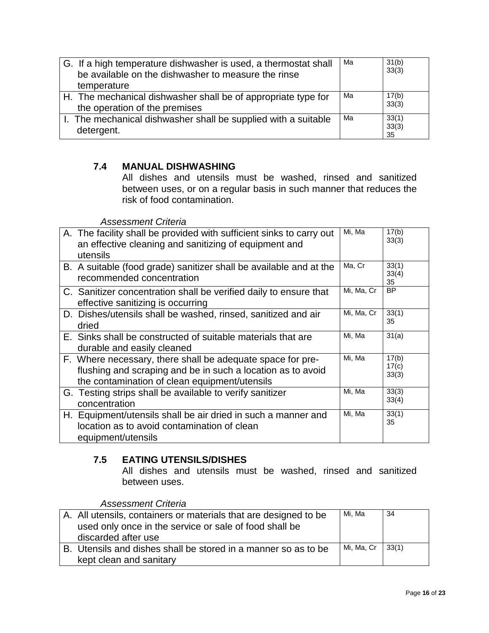| G. If a high temperature dishwasher is used, a thermostat shall<br>be available on the dishwasher to measure the rinse<br>temperature | Ma | 31(b)<br>33(3)       |
|---------------------------------------------------------------------------------------------------------------------------------------|----|----------------------|
| H. The mechanical dishwasher shall be of appropriate type for<br>the operation of the premises                                        | Ma | 17(b)<br>33(3)       |
| I. The mechanical dishwasher shall be supplied with a suitable<br>detergent.                                                          | Ma | 33(1)<br>33(3)<br>35 |

## <span id="page-15-0"></span>**7.4 MANUAL DISHWASHING**

All dishes and utensils must be washed, rinsed and sanitized between uses, or on a regular basis in such manner that reduces the risk of food contamination.

#### *Assessment Criteria*

| A. The facility shall be provided with sufficient sinks to carry out<br>an effective cleaning and sanitizing of equipment and<br>utensils                                  | Mi, Ma     | 17(b)<br>33(3)          |
|----------------------------------------------------------------------------------------------------------------------------------------------------------------------------|------------|-------------------------|
| B. A suitable (food grade) sanitizer shall be available and at the<br>recommended concentration                                                                            | Ma, Cr     | 33(1)<br>33(4)<br>35    |
| C. Sanitizer concentration shall be verified daily to ensure that<br>effective sanitizing is occurring                                                                     | Mi, Ma, Cr | <b>BP</b>               |
| D. Dishes/utensils shall be washed, rinsed, sanitized and air<br>dried                                                                                                     | Mi, Ma, Cr | 33(1)<br>35             |
| E. Sinks shall be constructed of suitable materials that are<br>durable and easily cleaned                                                                                 | Mi, Ma     | 31(a)                   |
| F. Where necessary, there shall be adequate space for pre-<br>flushing and scraping and be in such a location as to avoid<br>the contamination of clean equipment/utensils | Mi, Ma     | 17(b)<br>17(c)<br>33(3) |
| G. Testing strips shall be available to verify sanitizer<br>concentration                                                                                                  | Mi, Ma     | 33(3)<br>33(4)          |
| H. Equipment/utensils shall be air dried in such a manner and<br>location as to avoid contamination of clean<br>equipment/utensils                                         | Mi, Ma     | 33(1)<br>35             |

## **7.5 EATING UTENSILS/DISHES**

All dishes and utensils must be washed, rinsed and sanitized between uses.

| A. All utensils, containers or materials that are designed to be<br>used only once in the service or sale of food shall be<br>discarded after use | Mi. Ma             | -34 |
|---------------------------------------------------------------------------------------------------------------------------------------------------|--------------------|-----|
| B. Utensils and dishes shall be stored in a manner so as to be                                                                                    | Mi, Ma, Cr   33(1) |     |
| kept clean and sanitary                                                                                                                           |                    |     |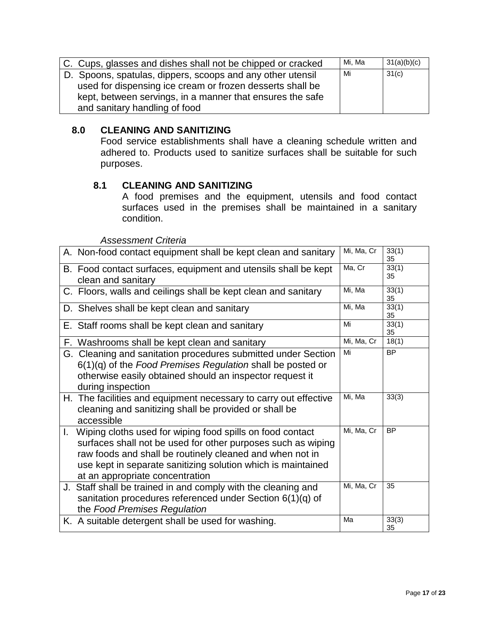| C. Cups, glasses and dishes shall not be chipped or cracked | Mi. Ma | 31(a)(b)(c) |
|-------------------------------------------------------------|--------|-------------|
| D. Spoons, spatulas, dippers, scoops and any other utensil  | Mi     | 31(c)       |
| used for dispensing ice cream or frozen desserts shall be   |        |             |
| kept, between servings, in a manner that ensures the safe   |        |             |
| and sanitary handling of food                               |        |             |

#### <span id="page-16-0"></span>**8.0 CLEANING AND SANITIZING**

Food service establishments shall have a cleaning schedule written and adhered to. Products used to sanitize surfaces shall be suitable for such purposes.

## **8.1 CLEANING AND SANITIZING**

A food premises and the equipment, utensils and food contact surfaces used in the premises shall be maintained in a sanitary condition.

| A. Non-food contact equipment shall be kept clean and sanitary                                                                                                                                                                                                                              | Mi, Ma, Cr | 33(1)<br>35 |
|---------------------------------------------------------------------------------------------------------------------------------------------------------------------------------------------------------------------------------------------------------------------------------------------|------------|-------------|
| B. Food contact surfaces, equipment and utensils shall be kept<br>clean and sanitary                                                                                                                                                                                                        | Ma, Cr     | 33(1)<br>35 |
| C. Floors, walls and ceilings shall be kept clean and sanitary                                                                                                                                                                                                                              | Mi, Ma     | 33(1)<br>35 |
| D. Shelves shall be kept clean and sanitary                                                                                                                                                                                                                                                 | Mi, Ma     | 33(1)<br>35 |
| E. Staff rooms shall be kept clean and sanitary                                                                                                                                                                                                                                             | Mi         | 33(1)<br>35 |
| F. Washrooms shall be kept clean and sanitary                                                                                                                                                                                                                                               | Mi, Ma, Cr | 18(1)       |
| G. Cleaning and sanitation procedures submitted under Section<br>$6(1)(q)$ of the Food Premises Regulation shall be posted or<br>otherwise easily obtained should an inspector request it<br>during inspection                                                                              | Mi         | <b>BP</b>   |
| H. The facilities and equipment necessary to carry out effective<br>cleaning and sanitizing shall be provided or shall be<br>accessible                                                                                                                                                     | Mi, Ma     | 33(3)       |
| I. Wiping cloths used for wiping food spills on food contact<br>surfaces shall not be used for other purposes such as wiping<br>raw foods and shall be routinely cleaned and when not in<br>use kept in separate sanitizing solution which is maintained<br>at an appropriate concentration | Mi, Ma, Cr | <b>BP</b>   |
| J. Staff shall be trained in and comply with the cleaning and<br>sanitation procedures referenced under Section 6(1)(q) of<br>the Food Premises Regulation                                                                                                                                  | Mi, Ma, Cr | 35          |
| K. A suitable detergent shall be used for washing.                                                                                                                                                                                                                                          | Ma         | 33(3)<br>35 |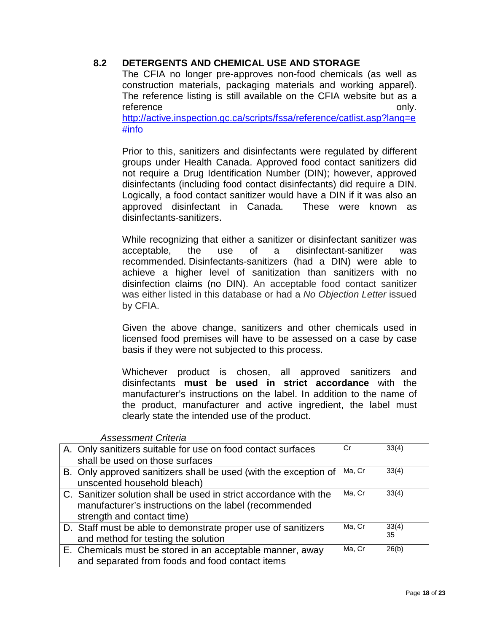## **8.2 DETERGENTS AND CHEMICAL USE AND STORAGE**

The CFIA no longer pre-approves non-food chemicals (as well as construction materials, packaging materials and working apparel). The reference listing is still available on the CFIA website but as a reference only.

[http://active.inspection.gc.ca/scripts/fssa/reference/catlist.asp?lang=e](http://active.inspection.gc.ca/scripts/fssa/reference/catlist.asp?lang=e#info) [#info](http://active.inspection.gc.ca/scripts/fssa/reference/catlist.asp?lang=e#info)

Prior to this, sanitizers and disinfectants were regulated by different groups under Health Canada. Approved food contact sanitizers did not require a Drug Identification Number (DIN); however, approved disinfectants (including food contact disinfectants) did require a DIN. Logically, a food contact sanitizer would have a DIN if it was also an approved disinfectant in Canada. These were known as disinfectants-sanitizers.

While recognizing that either a sanitizer or disinfectant sanitizer was acceptable, the use of a disinfectant-sanitizer was recommended. Disinfectants-sanitizers (had a DIN) were able to achieve a higher level of sanitization than sanitizers with no disinfection claims (no DIN). An acceptable food contact sanitizer was either listed in this database or had a *No Objection Letter* issued by CFIA.

Given the above change, sanitizers and other chemicals used in licensed food premises will have to be assessed on a case by case basis if they were not subjected to this process.

Whichever product is chosen, all approved sanitizers and disinfectants **must be used in strict accordance** with the manufacturer's instructions on the label. In addition to the name of the product, manufacturer and active ingredient, the label must clearly state the intended use of the product.

| A. Only sanitizers suitable for use on food contact surfaces<br>shall be used on those surfaces                                                          | Cr     | 33(4)       |
|----------------------------------------------------------------------------------------------------------------------------------------------------------|--------|-------------|
| B. Only approved sanitizers shall be used (with the exception of<br>unscented household bleach)                                                          | Ma, Cr | 33(4)       |
| C. Sanitizer solution shall be used in strict accordance with the<br>manufacturer's instructions on the label (recommended<br>strength and contact time) | Ma, Cr | 33(4)       |
| D. Staff must be able to demonstrate proper use of sanitizers<br>and method for testing the solution                                                     | Ma, Cr | 33(4)<br>35 |
| E. Chemicals must be stored in an acceptable manner, away<br>and separated from foods and food contact items                                             | Ma. Cr | 26(b)       |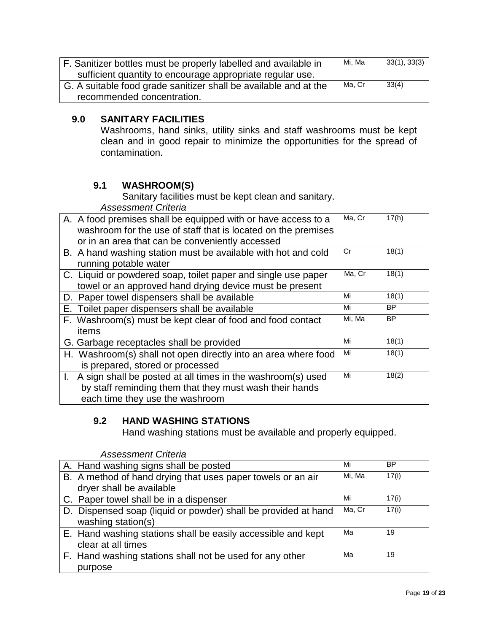| F. Sanitizer bottles must be properly labelled and available in  | Mi. Ma | 33(1), 33(3) |
|------------------------------------------------------------------|--------|--------------|
| sufficient quantity to encourage appropriate regular use.        |        |              |
| G. A suitable food grade sanitizer shall be available and at the | Ma. Cr | 33(4)        |
| recommended concentration.                                       |        |              |

## <span id="page-18-0"></span>**9.0 SANITARY FACILITIES**

Washrooms, hand sinks, utility sinks and staff washrooms must be kept clean and in good repair to minimize the opportunities for the spread of contamination.

# **9.1 WASHROOM(S)**

Sanitary facilities must be kept clean and sanitary.

*Assessment Criteria*

| A. A food premises shall be equipped with or have access to a<br>washroom for the use of staff that is located on the premises<br>or in an area that can be conveniently accessed | Ma, Cr | 17(h)     |
|-----------------------------------------------------------------------------------------------------------------------------------------------------------------------------------|--------|-----------|
| B. A hand washing station must be available with hot and cold<br>running potable water                                                                                            | Cr     | 18(1)     |
| C. Liquid or powdered soap, toilet paper and single use paper<br>towel or an approved hand drying device must be present                                                          | Ma, Cr | 18(1)     |
| D. Paper towel dispensers shall be available                                                                                                                                      | Mi     | 18(1)     |
| E. Toilet paper dispensers shall be available                                                                                                                                     | Mi     | <b>BP</b> |
| F. Washroom(s) must be kept clear of food and food contact<br>items                                                                                                               | Mi, Ma | <b>BP</b> |
| G. Garbage receptacles shall be provided                                                                                                                                          | Mi     | 18(1)     |
| H. Washroom(s) shall not open directly into an area where food<br>is prepared, stored or processed                                                                                | Mi     | 18(1)     |
| I. A sign shall be posted at all times in the washroom(s) used<br>by staff reminding them that they must wash their hands<br>each time they use the washroom                      | Mi     | 18(2)     |

# <span id="page-18-1"></span>**9.2 HAND WASHING STATIONS**

Hand washing stations must be available and properly equipped.

| A. Hand washing signs shall be posted                          | Mi     | <b>BP</b> |
|----------------------------------------------------------------|--------|-----------|
| B. A method of hand drying that uses paper towels or an air    | Mi, Ma | 17(i)     |
| dryer shall be available                                       |        |           |
| C. Paper towel shall be in a dispenser                         | Mi     | 17(i)     |
| D. Dispensed soap (liquid or powder) shall be provided at hand | Ma, Cr | 17(i)     |
| washing station(s)                                             |        |           |
| E. Hand washing stations shall be easily accessible and kept   | Мa     | 19        |
| clear at all times                                             |        |           |
| F. Hand washing stations shall not be used for any other       | Мa     | 19        |
| purpose                                                        |        |           |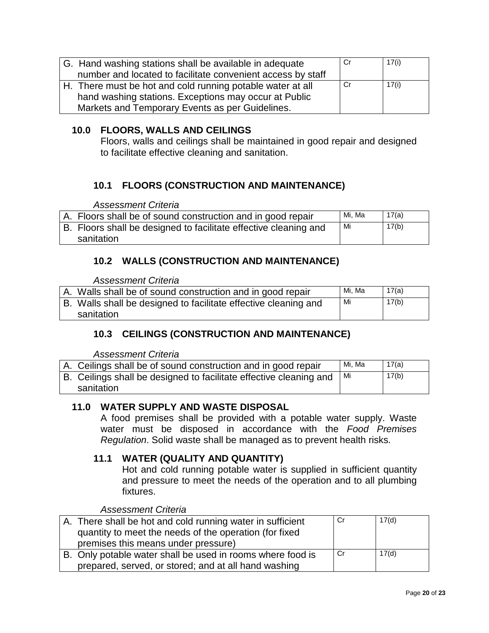| G. Hand washing stations shall be available in adequate     | Cr | 17(i) |
|-------------------------------------------------------------|----|-------|
| number and located to facilitate convenient access by staff |    |       |
| H. There must be hot and cold running potable water at all  | Cr | 17(i) |
| hand washing stations. Exceptions may occur at Public       |    |       |
| Markets and Temporary Events as per Guidelines.             |    |       |

## **10.0 FLOORS, WALLS AND CEILINGS**

<span id="page-19-0"></span>Floors, walls and ceilings shall be maintained in good repair and designed to facilitate effective cleaning and sanitation.

## **10.1 FLOORS (CONSTRUCTION AND MAINTENANCE)**

*Assessment Criteria*

| A. Floors shall be of sound construction and in good repair      |    | Mi. Ma | 17(a) |
|------------------------------------------------------------------|----|--------|-------|
| B. Floors shall be designed to facilitate effective cleaning and | Mi |        | 17(b) |
| sanitation                                                       |    |        |       |

## <span id="page-19-1"></span>**10.2 WALLS (CONSTRUCTION AND MAINTENANCE)**

*Assessment Criteria*

| A. Walls shall be of sound construction and in good repair      | Mi. Ma | 17(a) |
|-----------------------------------------------------------------|--------|-------|
| B. Walls shall be designed to facilitate effective cleaning and | Mi     | 17(b) |
| sanitation                                                      |        |       |

## <span id="page-19-2"></span>**10.3 CEILINGS (CONSTRUCTION AND MAINTENANCE)**

*Assessment Criteria*

| A. Ceilings shall be of sound construction and in good repair      | Mi. Ma | 17(a) |
|--------------------------------------------------------------------|--------|-------|
| B. Ceilings shall be designed to facilitate effective cleaning and | Mi     | 17(b) |
| sanitation                                                         |        |       |

## **11.0 WATER SUPPLY AND WASTE DISPOSAL**

A food premises shall be provided with a potable water supply. Waste water must be disposed in accordance with the *Food Premises Regulation*. Solid waste shall be managed as to prevent health risks.

## **11.1 WATER (QUALITY AND QUANTITY)**

Hot and cold running potable water is supplied in sufficient quantity and pressure to meet the needs of the operation and to all plumbing fixtures.

| A. There shall be hot and cold running water in sufficient | .Cr  | 17(d) |
|------------------------------------------------------------|------|-------|
| quantity to meet the needs of the operation (for fixed     |      |       |
| premises this means under pressure)                        |      |       |
| B. Only potable water shall be used in rooms where food is | - Cr | 17(d) |
| prepared, served, or stored; and at all hand washing       |      |       |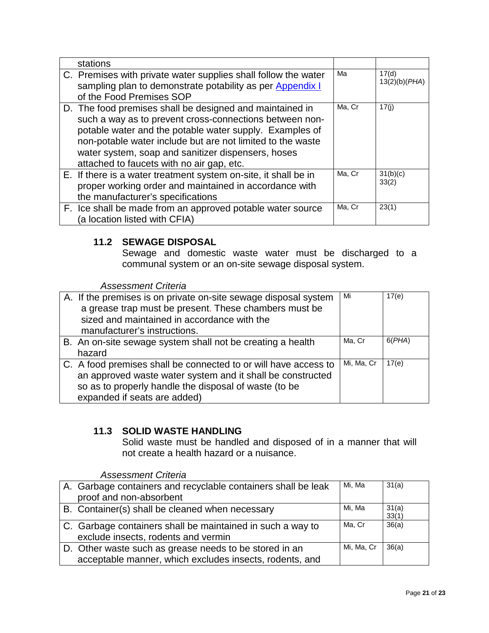| stations                                                                                                                                                                                                                                                                                                                                        |        |                        |
|-------------------------------------------------------------------------------------------------------------------------------------------------------------------------------------------------------------------------------------------------------------------------------------------------------------------------------------------------|--------|------------------------|
| C. Premises with private water supplies shall follow the water<br>sampling plan to demonstrate potability as per Appendix I<br>of the Food Premises SOP                                                                                                                                                                                         | Ma     | 17(d)<br>13(2)(b)(PHA) |
| D. The food premises shall be designed and maintained in<br>such a way as to prevent cross-connections between non-<br>potable water and the potable water supply. Examples of<br>non-potable water include but are not limited to the waste<br>water system, soap and sanitizer dispensers, hoses<br>attached to faucets with no air gap, etc. | Ma, Cr | 17(i)                  |
| E. If there is a water treatment system on-site, it shall be in<br>proper working order and maintained in accordance with<br>the manufacturer's specifications                                                                                                                                                                                  | Ma, Cr | 31(b)(c)<br>33(2)      |
| F. Ice shall be made from an approved potable water source<br>(a location listed with CFIA)                                                                                                                                                                                                                                                     | Ma, Cr | 23(1)                  |

## **11.2 SEWAGE DISPOSAL**

Sewage and domestic waste water must be discharged to a communal system or an on-site sewage disposal system.

*Assessment Criteria*

|        | A. If the premises is on private on-site sewage disposal system<br>a grease trap must be present. These chambers must be<br>sized and maintained in accordance with the<br>manufacturer's instructions.                | Mi         | 17(e)  |
|--------|------------------------------------------------------------------------------------------------------------------------------------------------------------------------------------------------------------------------|------------|--------|
| hazard | B. An on-site sewage system shall not be creating a health                                                                                                                                                             | Ma, Cr     | 6(PHA) |
|        | C. A food premises shall be connected to or will have access to<br>an approved waste water system and it shall be constructed<br>so as to properly handle the disposal of waste (to be<br>expanded if seats are added) | Mi, Ma, Cr | 17(e)  |

# **11.3 SOLID WASTE HANDLING**

Solid waste must be handled and disposed of in a manner that will not create a health hazard or a nuisance.

| A. Garbage containers and recyclable containers shall be leak<br>proof and non-absorbent                          | Mi, Ma     | 31(a)          |
|-------------------------------------------------------------------------------------------------------------------|------------|----------------|
| B. Container(s) shall be cleaned when necessary                                                                   | Mi, Ma     | 31(a)<br>33(1) |
| C. Garbage containers shall be maintained in such a way to<br>exclude insects, rodents and vermin                 | Ma. Cr     | 36(a)          |
| D. Other waste such as grease needs to be stored in an<br>acceptable manner, which excludes insects, rodents, and | Mi, Ma, Cr | 36(a)          |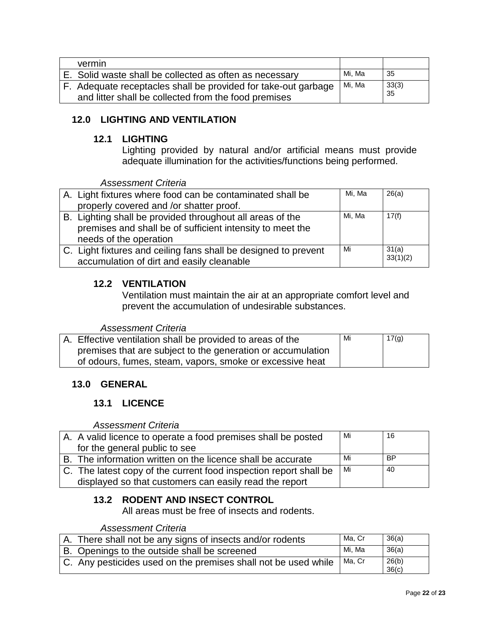| vermin                                                         |        |       |
|----------------------------------------------------------------|--------|-------|
| E. Solid waste shall be collected as often as necessary        | Mi. Ma | -35   |
| F. Adequate receptacles shall be provided for take-out garbage | Mi, Ma | 33(3) |
| and litter shall be collected from the food premises           |        | 35    |

## <span id="page-21-0"></span>**12.0 LIGHTING AND VENTILATION**

#### **12.1 LIGHTING**

<span id="page-21-1"></span>Lighting provided by natural and/or artificial means must provide adequate illumination for the activities/functions being performed.

*Assessment Criteria*

| A. Light fixtures where food can be contaminated shall be       | Mi, Ma | 26(a)    |
|-----------------------------------------------------------------|--------|----------|
| properly covered and /or shatter proof.                         |        |          |
| B. Lighting shall be provided throughout all areas of the       | Mi, Ma | 17(f)    |
| premises and shall be of sufficient intensity to meet the       |        |          |
| needs of the operation                                          |        |          |
| C. Light fixtures and ceiling fans shall be designed to prevent | Mi     | 31(a)    |
| accumulation of dirt and easily cleanable                       |        | 33(1)(2) |

## <span id="page-21-2"></span>**12.2 VENTILATION**

Ventilation must maintain the air at an appropriate comfort level and prevent the accumulation of undesirable substances.

#### *Assessment Criteria*

| A. Effective ventilation shall be provided to areas of the  | Mi | 17(g) |
|-------------------------------------------------------------|----|-------|
| premises that are subject to the generation or accumulation |    |       |
| of odours, fumes, steam, vapors, smoke or excessive heat    |    |       |

## <span id="page-21-4"></span><span id="page-21-3"></span>**13.0 GENERAL**

## **13.1 LICENCE**

*Assessment Criteria*

| A. A valid licence to operate a food premises shall be posted     | Mi | 16        |
|-------------------------------------------------------------------|----|-----------|
| for the general public to see                                     |    |           |
| B. The information written on the licence shall be accurate       | Mi | <b>BP</b> |
| C. The latest copy of the current food inspection report shall be | Mi | -40       |
| displayed so that customers can easily read the report            |    |           |

## **13.2 RODENT AND INSECT CONTROL**

All areas must be free of insects and rodents.

| A. There shall not be any signs of insects and/or rodents      | Ma. Cr | 36(a)          |
|----------------------------------------------------------------|--------|----------------|
| B. Openings to the outside shall be screened                   | Mi. Ma | 36(a)          |
| C. Any pesticides used on the premises shall not be used while | Ma, Cr | 26(b)<br>36(c) |